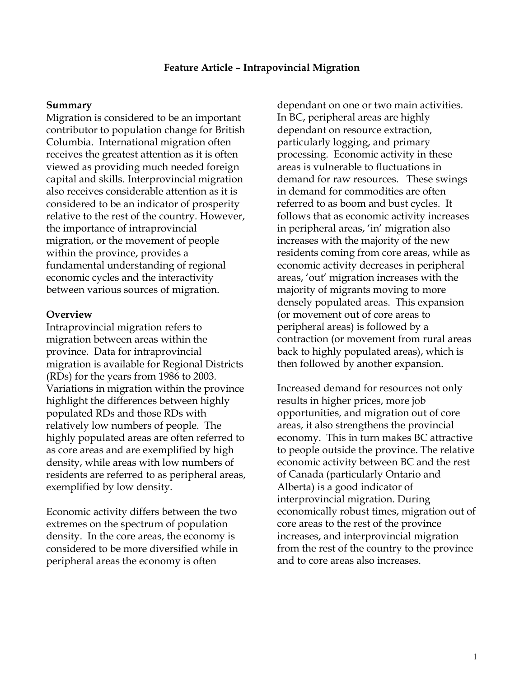## **Feature Article – Intrapovincial Migration**

## **Summary**

Migration is considered to be an important contributor to population change for British Columbia. International migration often receives the greatest attention as it is often viewed as providing much needed foreign capital and skills. Interprovincial migration also receives considerable attention as it is considered to be an indicator of prosperity relative to the rest of the country. However, the importance of intraprovincial migration, or the movement of people within the province, provides a fundamental understanding of regional economic cycles and the interactivity between various sources of migration.

## **Overview**

Intraprovincial migration refers to migration between areas within the province. Data for intraprovincial migration is available for Regional Districts (RDs) for the years from 1986 to 2003. Variations in migration within the province highlight the differences between highly populated RDs and those RDs with relatively low numbers of people. The highly populated areas are often referred to as core areas and are exemplified by high density, while areas with low numbers of residents are referred to as peripheral areas, exemplified by low density.

Economic activity differs between the two extremes on the spectrum of population density. In the core areas, the economy is considered to be more diversified while in peripheral areas the economy is often

dependant on one or two main activities. In BC, peripheral areas are highly dependant on resource extraction, particularly logging, and primary processing. Economic activity in these areas is vulnerable to fluctuations in demand for raw resources. These swings in demand for commodities are often referred to as boom and bust cycles. It follows that as economic activity increases in peripheral areas, 'in' migration also increases with the majority of the new residents coming from core areas, while as economic activity decreases in peripheral areas, 'out' migration increases with the majority of migrants moving to more densely populated areas. This expansion (or movement out of core areas to peripheral areas) is followed by a contraction (or movement from rural areas back to highly populated areas), which is then followed by another expansion.

Increased demand for resources not only results in higher prices, more job opportunities, and migration out of core areas, it also strengthens the provincial economy. This in turn makes BC attractive to people outside the province. The relative economic activity between BC and the rest of Canada (particularly Ontario and Alberta) is a good indicator of interprovincial migration. During economically robust times, migration out of core areas to the rest of the province increases, and interprovincial migration from the rest of the country to the province and to core areas also increases.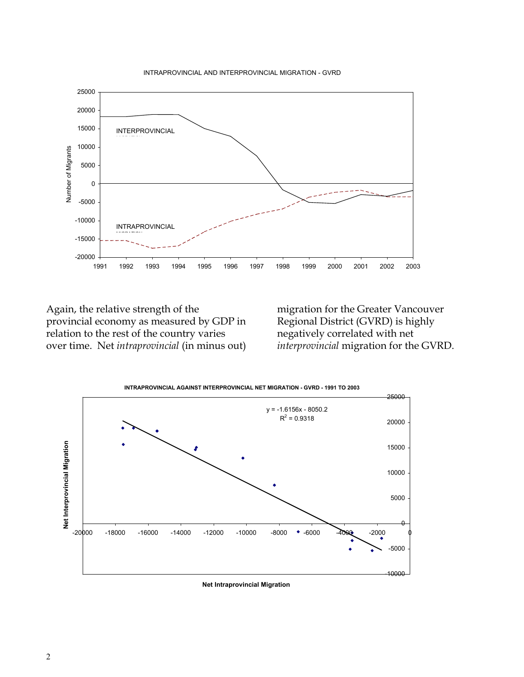



Again, the relative strength of the provincial economy as measured by GDP in relation to the rest of the country varies over time. Net *intraprovincial* (in minus out)

migration for the Greater Vancouver Regional District (GVRD) is highly negatively correlated with net *interprovincial* migration for the GVRD.